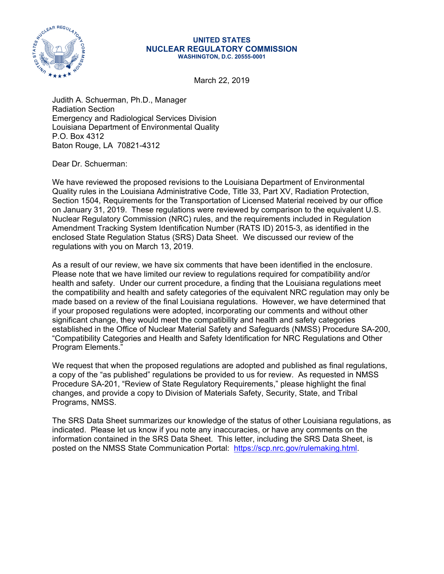

#### **UNITED STATES NUCLEAR REGULATORY COMMISSION WASHINGTON, D.C. 20555-0001**

March 22, 2019

Judith A. Schuerman, Ph.D., Manager Radiation Section Emergency and Radiological Services Division Louisiana Department of Environmental Quality P.O. Box 4312 Baton Rouge, LA 70821-4312

Dear Dr. Schuerman:

We have reviewed the proposed revisions to the Louisiana Department of Environmental Quality rules in the Louisiana Administrative Code, Title 33, Part XV, Radiation Protection, Section 1504, Requirements for the Transportation of Licensed Material received by our office on January 31, 2019. These regulations were reviewed by comparison to the equivalent U.S. Nuclear Regulatory Commission (NRC) rules, and the requirements included in Regulation Amendment Tracking System Identification Number (RATS ID) 2015-3, as identified in the enclosed State Regulation Status (SRS) Data Sheet. We discussed our review of the regulations with you on March 13, 2019.

As a result of our review, we have six comments that have been identified in the enclosure. Please note that we have limited our review to regulations required for compatibility and/or health and safety. Under our current procedure, a finding that the Louisiana regulations meet the compatibility and health and safety categories of the equivalent NRC regulation may only be made based on a review of the final Louisiana regulations. However, we have determined that if your proposed regulations were adopted, incorporating our comments and without other significant change, they would meet the compatibility and health and safety categories established in the Office of Nuclear Material Safety and Safeguards (NMSS) Procedure SA-200, "Compatibility Categories and Health and Safety Identification for NRC Regulations and Other Program Elements."

We request that when the proposed regulations are adopted and published as final regulations, a copy of the "as published" regulations be provided to us for review. As requested in NMSS Procedure SA-201, "Review of State Regulatory Requirements," please highlight the final changes, and provide a copy to Division of Materials Safety, Security, State, and Tribal Programs, NMSS.

The SRS Data Sheet summarizes our knowledge of the status of other Louisiana regulations, as indicated. Please let us know if you note any inaccuracies, or have any comments on the information contained in the SRS Data Sheet. This letter, including the SRS Data Sheet, is posted on the NMSS State Communication Portal: https://scp.nrc.gov/rulemaking.html.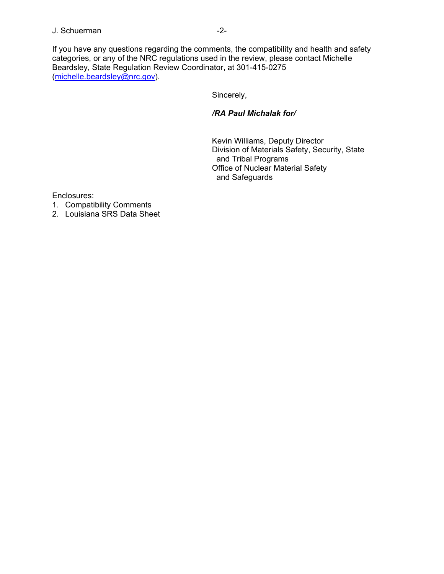## J. Schuerman -2-

If you have any questions regarding the comments, the compatibility and health and safety categories, or any of the NRC regulations used in the review, please contact Michelle Beardsley, State Regulation Review Coordinator, at 301-415-0275 (michelle.beardsley@nrc.gov).

Sincerely,

## */RA Paul Michalak for/*

Kevin Williams, Deputy Director Division of Materials Safety, Security, State and Tribal Programs Office of Nuclear Material Safety and Safeguards

Enclosures:

- 1. Compatibility Comments
- 2. Louisiana SRS Data Sheet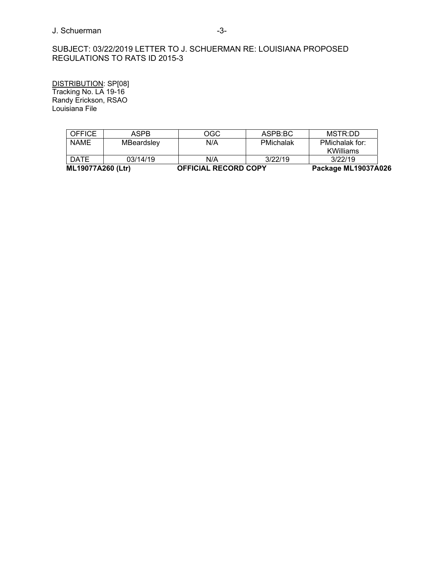## J. Schuerman -3-

# SUBJECT: 03/22/2019 LETTER TO J. SCHUERMAN RE: LOUISIANA PROPOSED REGULATIONS TO RATS ID 2015-3

DISTRIBUTION: SP[08] Tracking No. LA 19-16 Randy Erickson, RSAO Louisiana File

| ML19077A260 (Ltr) |            | <b>OFFICIAL RECORD COPY</b> | Package ML19037A026 |                |  |
|-------------------|------------|-----------------------------|---------------------|----------------|--|
| <b>DATE</b>       | 03/14/19   | N/A                         | 3/22/19             | 3/22/19        |  |
|                   |            |                             |                     | KWilliams      |  |
| <b>NAME</b>       | MBeardsley | N/A                         | PMichalak           | PMichalak for: |  |
| <b>OFFICE</b>     | ASPB       | OGC                         | ASPB:BC             | MSTR:DD        |  |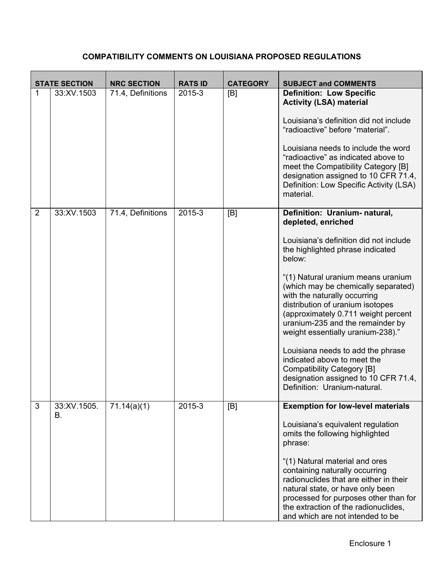# **COMPATIBILITY COMMENTS ON LOUISIANA PROPOSED REGULATIONS**

|                | <b>STATE SECTION</b> | <b>NRC SECTION</b> | <b>RATS ID</b> | <b>CATEGORY</b> | <b>SUBJECT and COMMENTS</b>                                                                                                                                                                                                                                         |
|----------------|----------------------|--------------------|----------------|-----------------|---------------------------------------------------------------------------------------------------------------------------------------------------------------------------------------------------------------------------------------------------------------------|
| 1              | 33:XV.1503           | 71.4, Definitions  | 2015-3         | [B]             | <b>Definition: Low Specific</b><br><b>Activity (LSA) material</b><br>Louisiana's definition did not include<br>"radioactive" before "material".                                                                                                                     |
|                |                      |                    |                |                 | Louisiana needs to include the word<br>"radioactive" as indicated above to<br>meet the Compatibility Category [B]<br>designation assigned to 10 CFR 71.4,<br>Definition: Low Specific Activity (LSA)<br>material.                                                   |
| $\overline{2}$ | 33:XV.1503           | 71.4, Definitions  | 2015-3         | [B]             | Definition: Uranium- natural,<br>depleted, enriched                                                                                                                                                                                                                 |
|                |                      |                    |                |                 | Louisiana's definition did not include<br>the highlighted phrase indicated<br>below:                                                                                                                                                                                |
|                |                      |                    |                |                 | "(1) Natural uranium means uranium<br>(which may be chemically separated)<br>with the naturally occurring<br>distribution of uranium isotopes<br>(approximately 0.711 weight percent<br>uranium-235 and the remainder by<br>weight essentially uranium-238)."       |
|                |                      |                    |                |                 | Louisiana needs to add the phrase<br>indicated above to meet the<br><b>Compatibility Category [B]</b><br>designation assigned to 10 CFR 71.4,<br>Definition: Uranium-natural.                                                                                       |
| 3              | 33:XV.1505.<br>В.    | 71.14(a)(1)        | 2015-3         | [B]             | <b>Exemption for low-level materials</b>                                                                                                                                                                                                                            |
|                |                      |                    |                |                 | Louisiana's equivalent regulation<br>omits the following highlighted<br>phrase:                                                                                                                                                                                     |
|                |                      |                    |                |                 | "(1) Natural material and ores<br>containing naturally occurring<br>radionuclides that are either in their<br>natural state, or have only been<br>processed for purposes other than for<br>the extraction of the radionuclides,<br>and which are not intended to be |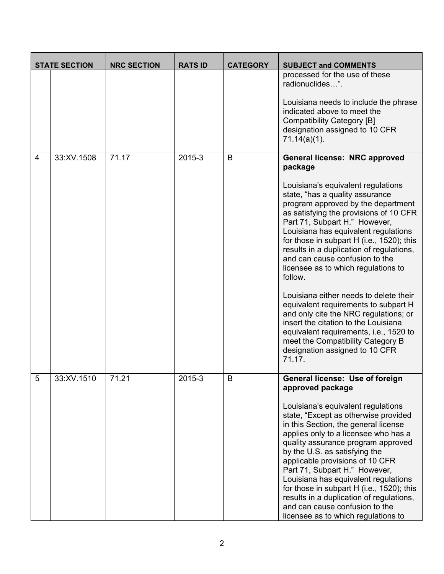|                | <b>STATE SECTION</b> | <b>NRC SECTION</b> | <b>RATS ID</b> | <b>CATEGORY</b> | <b>SUBJECT and COMMENTS</b>                                                                                                                                                                                                                                                                                                                                                                                                                                                                                     |
|----------------|----------------------|--------------------|----------------|-----------------|-----------------------------------------------------------------------------------------------------------------------------------------------------------------------------------------------------------------------------------------------------------------------------------------------------------------------------------------------------------------------------------------------------------------------------------------------------------------------------------------------------------------|
|                |                      |                    |                |                 | processed for the use of these<br>radionuclides".                                                                                                                                                                                                                                                                                                                                                                                                                                                               |
|                |                      |                    |                |                 | Louisiana needs to include the phrase<br>indicated above to meet the<br><b>Compatibility Category [B]</b><br>designation assigned to 10 CFR<br>$71.14(a)(1)$ .                                                                                                                                                                                                                                                                                                                                                  |
| $\overline{4}$ | 33:XV.1508           | 71.17              | 2015-3         | B               | General license: NRC approved<br>package                                                                                                                                                                                                                                                                                                                                                                                                                                                                        |
|                |                      |                    |                |                 | Louisiana's equivalent regulations<br>state, "has a quality assurance<br>program approved by the department<br>as satisfying the provisions of 10 CFR<br>Part 71, Subpart H." However,<br>Louisiana has equivalent regulations<br>for those in subpart H (i.e., 1520); this<br>results in a duplication of regulations,<br>and can cause confusion to the<br>licensee as to which regulations to<br>follow.                                                                                                     |
|                |                      |                    |                |                 | Louisiana either needs to delete their<br>equivalent requirements to subpart H<br>and only cite the NRC regulations; or<br>insert the citation to the Louisiana<br>equivalent requirements, i.e., 1520 to<br>meet the Compatibility Category B<br>designation assigned to 10 CFR<br>71.17.                                                                                                                                                                                                                      |
| 5              | 33:XV.1510           | 71.21              | 2015-3         | B               | General license: Use of foreign<br>approved package                                                                                                                                                                                                                                                                                                                                                                                                                                                             |
|                |                      |                    |                |                 | Louisiana's equivalent regulations<br>state, "Except as otherwise provided<br>in this Section, the general license<br>applies only to a licensee who has a<br>quality assurance program approved<br>by the U.S. as satisfying the<br>applicable provisions of 10 CFR<br>Part 71, Subpart H." However,<br>Louisiana has equivalent regulations<br>for those in subpart H (i.e., 1520); this<br>results in a duplication of regulations,<br>and can cause confusion to the<br>licensee as to which regulations to |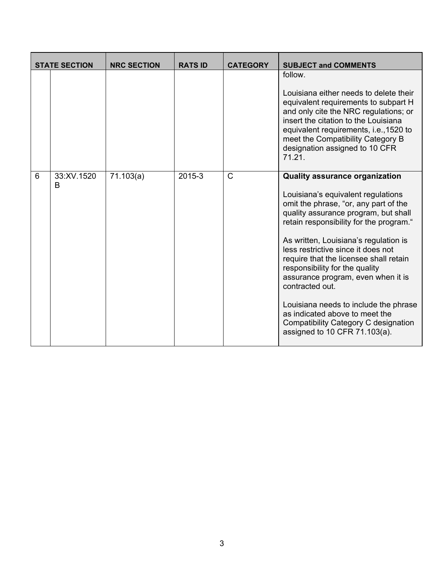|   | <b>STATE SECTION</b> | <b>NRC SECTION</b> | <b>RATS ID</b> | <b>CATEGORY</b> | <b>SUBJECT and COMMENTS</b>                                                                                                                                                                                                                                                                                                                                                                                                                                                                                                                                                     |
|---|----------------------|--------------------|----------------|-----------------|---------------------------------------------------------------------------------------------------------------------------------------------------------------------------------------------------------------------------------------------------------------------------------------------------------------------------------------------------------------------------------------------------------------------------------------------------------------------------------------------------------------------------------------------------------------------------------|
|   |                      |                    |                |                 | follow.<br>Louisiana either needs to delete their<br>equivalent requirements to subpart H<br>and only cite the NRC regulations; or<br>insert the citation to the Louisiana<br>equivalent requirements, i.e., 1520 to<br>meet the Compatibility Category B<br>designation assigned to 10 CFR<br>71.21.                                                                                                                                                                                                                                                                           |
| 6 | 33:XV.1520<br>B      | 71.103(a)          | 2015-3         | $\mathsf{C}$    | <b>Quality assurance organization</b><br>Louisiana's equivalent regulations<br>omit the phrase, "or, any part of the<br>quality assurance program, but shall<br>retain responsibility for the program."<br>As written, Louisiana's regulation is<br>less restrictive since it does not<br>require that the licensee shall retain<br>responsibility for the quality<br>assurance program, even when it is<br>contracted out.<br>Louisiana needs to include the phrase<br>as indicated above to meet the<br>Compatibility Category C designation<br>assigned to 10 CFR 71.103(a). |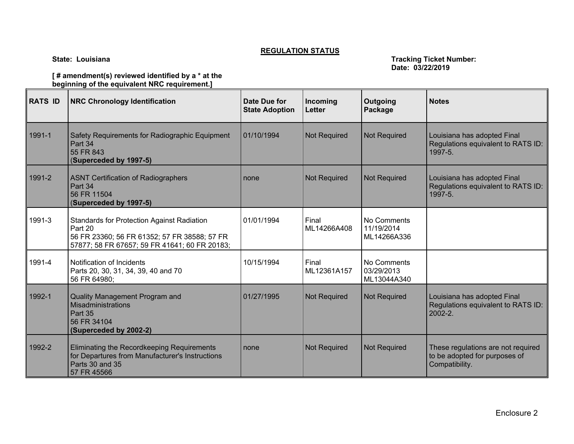#### **REGULATION STATUS**

**State: Louisiana Tracking Ticket Number: Date: 03/22/2019** 

**[ # amendment(s) reviewed identified by a \* at the beginning of the equivalent NRC requirement.]** 

| <b>RATS ID</b> | <b>NRC Chronology Identification</b>                                                                                                                          | Date Due for<br><b>State Adoption</b> | Incoming<br><b>Letter</b> | Outgoing<br>Package                      | <b>Notes</b>                                                                          |
|----------------|---------------------------------------------------------------------------------------------------------------------------------------------------------------|---------------------------------------|---------------------------|------------------------------------------|---------------------------------------------------------------------------------------|
| 1991-1         | Safety Requirements for Radiographic Equipment<br>Part 34<br>55 FR 843<br>(Superceded by 1997-5)                                                              | 01/10/1994                            | <b>Not Required</b>       | <b>Not Required</b>                      | Louisiana has adopted Final<br>Regulations equivalent to RATS ID:<br>1997-5.          |
| 1991-2         | <b>ASNT Certification of Radiographers</b><br>Part 34<br>56 FR 11504<br>(Superceded by 1997-5)                                                                | none                                  | <b>Not Required</b>       | <b>Not Required</b>                      | Louisiana has adopted Final<br>Regulations equivalent to RATS ID:<br>1997-5.          |
| 1991-3         | <b>Standards for Protection Against Radiation</b><br>Part 20<br>56 FR 23360; 56 FR 61352; 57 FR 38588; 57 FR<br>57877; 58 FR 67657; 59 FR 41641; 60 FR 20183; | 01/01/1994                            | Final<br>ML14266A408      | No Comments<br>11/19/2014<br>ML14266A336 |                                                                                       |
| 1991-4         | Notification of Incidents<br>Parts 20, 30, 31, 34, 39, 40 and 70<br>56 FR 64980;                                                                              | 10/15/1994                            | Final<br>ML12361A157      | No Comments<br>03/29/2013<br>ML13044A340 |                                                                                       |
| 1992-1         | Quality Management Program and<br>Misadministrations<br>Part 35<br>56 FR 34104<br>(Superceded by 2002-2)                                                      | 01/27/1995                            | Not Required              | <b>Not Required</b>                      | Louisiana has adopted Final<br>Regulations equivalent to RATS ID:<br>2002-2.          |
| 1992-2         | Eliminating the Recordkeeping Requirements<br>for Departures from Manufacturer's Instructions<br>Parts 30 and 35<br>57 FR 45566                               | none                                  | Not Required              | <b>Not Required</b>                      | These regulations are not required<br>to be adopted for purposes of<br>Compatibility. |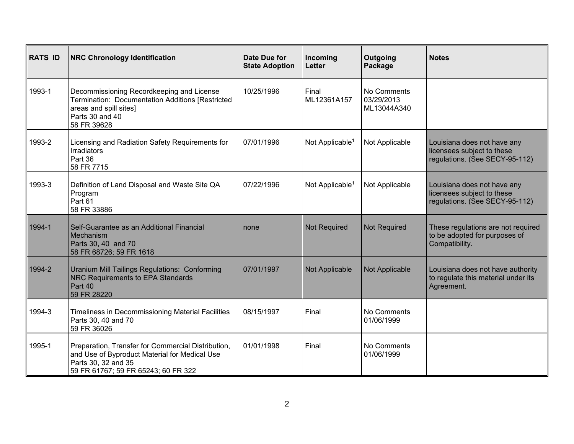| <b>RATS ID</b> | <b>NRC Chronology Identification</b>                                                                                                                              | <b>Date Due for</b><br><b>State Adoption</b> | Incoming<br>Letter          | Outgoing<br>Package                      | <b>Notes</b>                                                                                |
|----------------|-------------------------------------------------------------------------------------------------------------------------------------------------------------------|----------------------------------------------|-----------------------------|------------------------------------------|---------------------------------------------------------------------------------------------|
| 1993-1         | Decommissioning Recordkeeping and License<br>Termination: Documentation Additions [Restricted<br>areas and spill sites]<br>Parts 30 and 40<br>58 FR 39628         | 10/25/1996                                   | Final<br>ML12361A157        | No Comments<br>03/29/2013<br>ML13044A340 |                                                                                             |
| 1993-2         | Licensing and Radiation Safety Requirements for<br>Irradiators<br>Part 36<br>58 FR 7715                                                                           | 07/01/1996                                   | Not Applicable <sup>1</sup> | Not Applicable                           | Louisiana does not have any<br>licensees subject to these<br>regulations. (See SECY-95-112) |
| 1993-3         | Definition of Land Disposal and Waste Site QA<br>Program<br>Part 61<br>58 FR 33886                                                                                | 07/22/1996                                   | Not Applicable <sup>1</sup> | Not Applicable                           | Louisiana does not have any<br>licensees subject to these<br>regulations. (See SECY-95-112) |
| 1994-1         | Self-Guarantee as an Additional Financial<br>Mechanism<br>Parts 30, 40 and 70<br>58 FR 68726; 59 FR 1618                                                          | none                                         | <b>Not Required</b>         | <b>Not Required</b>                      | These regulations are not required<br>to be adopted for purposes of<br>Compatibility.       |
| 1994-2         | Uranium Mill Tailings Regulations: Conforming<br><b>NRC Requirements to EPA Standards</b><br>Part 40<br>59 FR 28220                                               | 07/01/1997                                   | Not Applicable              | Not Applicable                           | Louisiana does not have authority<br>to regulate this material under its<br>Agreement.      |
| 1994-3         | Timeliness in Decommissioning Material Facilities<br>Parts 30, 40 and 70<br>59 FR 36026                                                                           | 08/15/1997                                   | Final                       | No Comments<br>01/06/1999                |                                                                                             |
| 1995-1         | Preparation, Transfer for Commercial Distribution,<br>and Use of Byproduct Material for Medical Use<br>Parts 30, 32 and 35<br>59 FR 61767; 59 FR 65243; 60 FR 322 | 01/01/1998                                   | Final                       | No Comments<br>01/06/1999                |                                                                                             |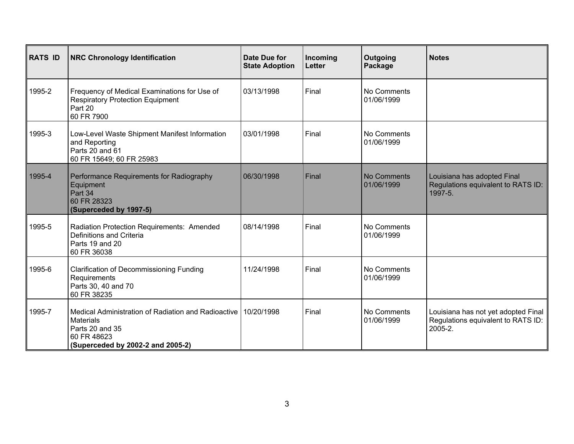| <b>RATS ID</b> | <b>NRC Chronology Identification</b>                                                                                                           | Date Due for<br><b>State Adoption</b> | Incoming<br><b>Letter</b> | Outgoing<br>Package              | <b>Notes</b>                                                                         |
|----------------|------------------------------------------------------------------------------------------------------------------------------------------------|---------------------------------------|---------------------------|----------------------------------|--------------------------------------------------------------------------------------|
| 1995-2         | Frequency of Medical Examinations for Use of<br><b>Respiratory Protection Equipment</b><br>Part 20<br>60 FR 7900                               | 03/13/1998                            | Final                     | No Comments<br>01/06/1999        |                                                                                      |
| 1995-3         | Low-Level Waste Shipment Manifest Information<br>and Reporting<br>Parts 20 and 61<br>60 FR 15649; 60 FR 25983                                  | 03/01/1998                            | Final                     | No Comments<br>01/06/1999        |                                                                                      |
| 1995-4         | Performance Requirements for Radiography<br>Equipment<br>Part 34<br>60 FR 28323<br>(Superceded by 1997-5)                                      | 06/30/1998                            | Final                     | <b>No Comments</b><br>01/06/1999 | Louisiana has adopted Final<br>Regulations equivalent to RATS ID:<br>1997-5.         |
| 1995-5         | Radiation Protection Requirements: Amended<br>Definitions and Criteria<br>Parts 19 and 20<br>60 FR 36038                                       | 08/14/1998                            | Final                     | No Comments<br>01/06/1999        |                                                                                      |
| 1995-6         | <b>Clarification of Decommissioning Funding</b><br>Requirements<br>Parts 30, 40 and 70<br>60 FR 38235                                          | 11/24/1998                            | Final                     | No Comments<br>01/06/1999        |                                                                                      |
| 1995-7         | Medical Administration of Radiation and Radioactive<br><b>Materials</b><br>Parts 20 and 35<br>60 FR 48623<br>(Superceded by 2002-2 and 2005-2) | 10/20/1998                            | Final                     | No Comments<br>01/06/1999        | Louisiana has not yet adopted Final<br>Regulations equivalent to RATS ID:<br>2005-2. |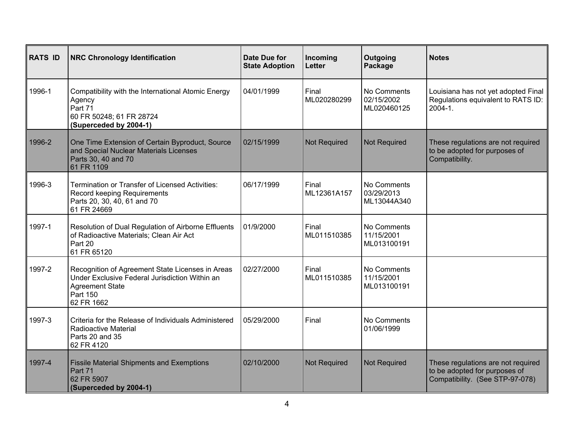| <b>RATS ID</b> | <b>NRC Chronology Identification</b>                                                                                                                   | <b>Date Due for</b><br><b>State Adoption</b> | Incoming<br><b>Letter</b> | Outgoing<br>Package                      | <b>Notes</b>                                                                                           |
|----------------|--------------------------------------------------------------------------------------------------------------------------------------------------------|----------------------------------------------|---------------------------|------------------------------------------|--------------------------------------------------------------------------------------------------------|
| 1996-1         | Compatibility with the International Atomic Energy<br>Agency<br>Part 71<br>60 FR 50248; 61 FR 28724<br>(Superceded by 2004-1)                          | 04/01/1999                                   | Final<br>ML020280299      | No Comments<br>02/15/2002<br>ML020460125 | Louisiana has not yet adopted Final<br>Regulations equivalent to RATS ID:<br>2004-1.                   |
| 1996-2         | One Time Extension of Certain Byproduct, Source<br>and Special Nuclear Materials Licenses<br>Parts 30, 40 and 70<br>61 FR 1109                         | 02/15/1999                                   | <b>Not Required</b>       | <b>Not Required</b>                      | These regulations are not required<br>to be adopted for purposes of<br>Compatibility.                  |
| 1996-3         | Termination or Transfer of Licensed Activities:<br>Record keeping Requirements<br>Parts 20, 30, 40, 61 and 70<br>61 FR 24669                           | 06/17/1999                                   | Final<br>ML12361A157      | No Comments<br>03/29/2013<br>ML13044A340 |                                                                                                        |
| 1997-1         | Resolution of Dual Regulation of Airborne Effluents<br>of Radioactive Materials; Clean Air Act<br>Part 20<br>61 FR 65120                               | 01/9/2000                                    | Final<br>ML011510385      | No Comments<br>11/15/2001<br>ML013100191 |                                                                                                        |
| 1997-2         | Recognition of Agreement State Licenses in Areas<br>Under Exclusive Federal Jurisdiction Within an<br><b>Agreement State</b><br>Part 150<br>62 FR 1662 | 02/27/2000                                   | Final<br>ML011510385      | No Comments<br>11/15/2001<br>ML013100191 |                                                                                                        |
| 1997-3         | Criteria for the Release of Individuals Administered<br>Radioactive Material<br>Parts 20 and 35<br>62 FR 4120                                          | 05/29/2000                                   | Final                     | No Comments<br>01/06/1999                |                                                                                                        |
| 1997-4         | <b>Fissile Material Shipments and Exemptions</b><br>Part 71<br>62 FR 5907<br>(Superceded by 2004-1)                                                    | 02/10/2000                                   | <b>Not Required</b>       | <b>Not Required</b>                      | These regulations are not required<br>to be adopted for purposes of<br>Compatibility. (See STP-97-078) |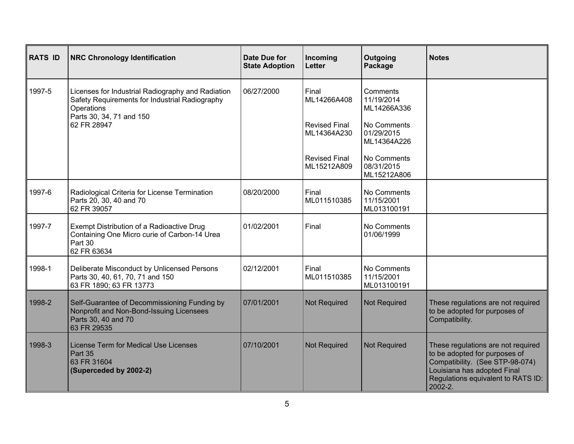| <b>RATS ID</b> | <b>NRC Chronology Identification</b>                                                                                                          | <b>Date Due for</b><br><b>State Adoption</b> | Incoming<br><b>Letter</b>           | Outgoing<br>Package                      | <b>Notes</b>                                                                                                                                                                           |
|----------------|-----------------------------------------------------------------------------------------------------------------------------------------------|----------------------------------------------|-------------------------------------|------------------------------------------|----------------------------------------------------------------------------------------------------------------------------------------------------------------------------------------|
| 1997-5         | Licenses for Industrial Radiography and Radiation<br>Safety Requirements for Industrial Radiography<br>Operations<br>Parts 30, 34, 71 and 150 | 06/27/2000                                   | Final<br>ML14266A408                | Comments<br>11/19/2014<br>ML14266A336    |                                                                                                                                                                                        |
|                | 62 FR 28947                                                                                                                                   |                                              | <b>Revised Final</b><br>ML14364A230 | No Comments<br>01/29/2015<br>ML14364A226 |                                                                                                                                                                                        |
|                |                                                                                                                                               |                                              | <b>Revised Final</b><br>ML15212A809 | No Comments<br>08/31/2015<br>ML15212A806 |                                                                                                                                                                                        |
| 1997-6         | Radiological Criteria for License Termination<br>Parts 20, 30, 40 and 70<br>62 FR 39057                                                       | 08/20/2000                                   | Final<br>ML011510385                | No Comments<br>11/15/2001<br>ML013100191 |                                                                                                                                                                                        |
| 1997-7         | Exempt Distribution of a Radioactive Drug<br>Containing One Micro curie of Carbon-14 Urea<br>Part 30<br>62 FR 63634                           | 01/02/2001                                   | Final                               | No Comments<br>01/06/1999                |                                                                                                                                                                                        |
| 1998-1         | Deliberate Misconduct by Unlicensed Persons<br>Parts 30, 40, 61, 70, 71 and 150<br>63 FR 1890; 63 FR 13773                                    | 02/12/2001                                   | Final<br>ML011510385                | No Comments<br>11/15/2001<br>ML013100191 |                                                                                                                                                                                        |
| 1998-2         | Self-Guarantee of Decommissioning Funding by<br>Nonprofit and Non-Bond-Issuing Licensees<br>Parts 30, 40 and 70<br>63 FR 29535                | 07/01/2001                                   | <b>Not Required</b>                 | <b>Not Required</b>                      | These regulations are not required<br>to be adopted for purposes of<br>Compatibility.                                                                                                  |
| 1998-3         | <b>License Term for Medical Use Licenses</b><br>Part 35<br>63 FR 31604<br>(Superceded by 2002-2)                                              | 07/10/2001                                   | <b>Not Required</b>                 | <b>Not Required</b>                      | These regulations are not required<br>to be adopted for purposes of<br>Compatibility. (See STP-98-074)<br>Louisiana has adopted Final<br>Regulations equivalent to RATS ID:<br>2002-2. |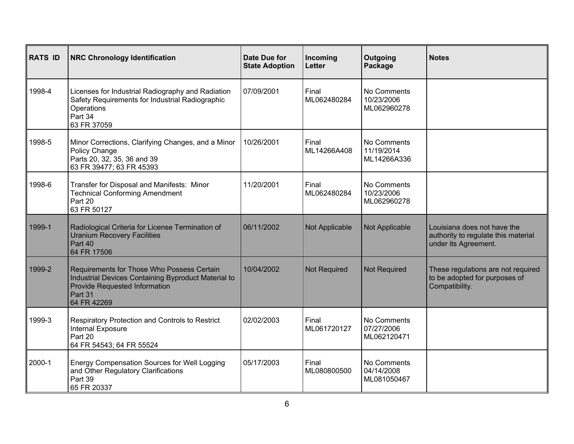| <b>RATS ID</b> | <b>NRC Chronology Identification</b>                                                                                                                         | Date Due for<br><b>State Adoption</b> | Incoming<br><b>Letter</b> | Outgoing<br>Package                      | <b>Notes</b>                                                                               |
|----------------|--------------------------------------------------------------------------------------------------------------------------------------------------------------|---------------------------------------|---------------------------|------------------------------------------|--------------------------------------------------------------------------------------------|
| 1998-4         | Licenses for Industrial Radiography and Radiation<br>Safety Requirements for Industrial Radiographic<br>Operations<br>Part 34<br>63 FR 37059                 | 07/09/2001                            | Final<br>ML062480284      | No Comments<br>10/23/2006<br>ML062960278 |                                                                                            |
| 1998-5         | Minor Corrections, Clarifying Changes, and a Minor<br>Policy Change<br>Parts 20, 32, 35, 36 and 39<br>63 FR 39477; 63 FR 45393                               | 10/26/2001                            | Final<br>ML14266A408      | No Comments<br>11/19/2014<br>ML14266A336 |                                                                                            |
| 1998-6         | Transfer for Disposal and Manifests: Minor<br><b>Technical Conforming Amendment</b><br>Part 20<br>63 FR 50127                                                | 11/20/2001                            | Final<br>ML062480284      | No Comments<br>10/23/2006<br>ML062960278 |                                                                                            |
| 1999-1         | Radiological Criteria for License Termination of<br><b>Uranium Recovery Facilities</b><br>Part 40<br>64 FR 17506                                             | 06/11/2002                            | Not Applicable            | Not Applicable                           | Louisiana does not have the<br>authority to regulate this material<br>under its Agreement. |
| 1999-2         | Requirements for Those Who Possess Certain<br>Industrial Devices Containing Byproduct Material to<br>Provide Requested Information<br>Part 31<br>64 FR 42269 | 10/04/2002                            | <b>Not Required</b>       | <b>Not Required</b>                      | These regulations are not required<br>to be adopted for purposes of<br>Compatibility.      |
| 1999-3         | Respiratory Protection and Controls to Restrict<br>Internal Exposure<br>Part 20<br>64 FR 54543; 64 FR 55524                                                  | 02/02/2003                            | Final<br>ML061720127      | No Comments<br>07/27/2006<br>ML062120471 |                                                                                            |
| 2000-1         | Energy Compensation Sources for Well Logging<br>and Other Regulatory Clarifications<br>Part 39<br>65 FR 20337                                                | 05/17/2003                            | Final<br>ML080800500      | No Comments<br>04/14/2008<br>ML081050467 |                                                                                            |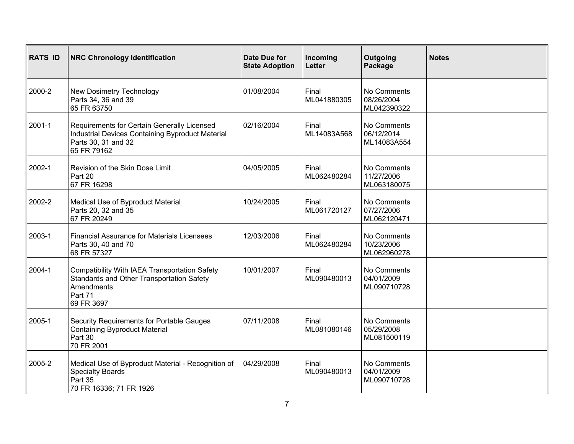| <b>RATS ID</b> | <b>NRC Chronology Identification</b>                                                                                                  | Date Due for<br><b>State Adoption</b> | Incoming<br>Letter   | Outgoing<br>Package                      | <b>Notes</b> |
|----------------|---------------------------------------------------------------------------------------------------------------------------------------|---------------------------------------|----------------------|------------------------------------------|--------------|
| 2000-2         | New Dosimetry Technology<br>Parts 34, 36 and 39<br>65 FR 63750                                                                        | 01/08/2004                            | Final<br>ML041880305 | No Comments<br>08/26/2004<br>ML042390322 |              |
| 2001-1         | Requirements for Certain Generally Licensed<br>Industrial Devices Containing Byproduct Material<br>Parts 30, 31 and 32<br>65 FR 79162 | 02/16/2004                            | Final<br>ML14083A568 | No Comments<br>06/12/2014<br>ML14083A554 |              |
| 2002-1         | Revision of the Skin Dose Limit<br>Part 20<br>67 FR 16298                                                                             | 04/05/2005                            | Final<br>ML062480284 | No Comments<br>11/27/2006<br>ML063180075 |              |
| 2002-2         | Medical Use of Byproduct Material<br>Parts 20, 32 and 35<br>67 FR 20249                                                               | 10/24/2005                            | Final<br>ML061720127 | No Comments<br>07/27/2006<br>ML062120471 |              |
| 2003-1         | <b>Financial Assurance for Materials Licensees</b><br>Parts 30, 40 and 70<br>68 FR 57327                                              | 12/03/2006                            | Final<br>ML062480284 | No Comments<br>10/23/2006<br>ML062960278 |              |
| 2004-1         | Compatibility With IAEA Transportation Safety<br>Standards and Other Transportation Safety<br>Amendments<br>Part 71<br>69 FR 3697     | 10/01/2007                            | Final<br>ML090480013 | No Comments<br>04/01/2009<br>ML090710728 |              |
| 2005-1         | Security Requirements for Portable Gauges<br><b>Containing Byproduct Material</b><br>Part 30<br>70 FR 2001                            | 07/11/2008                            | Final<br>ML081080146 | No Comments<br>05/29/2008<br>ML081500119 |              |
| 2005-2         | Medical Use of Byproduct Material - Recognition of<br><b>Specialty Boards</b><br>Part 35<br>70 FR 16336; 71 FR 1926                   | 04/29/2008                            | Final<br>ML090480013 | No Comments<br>04/01/2009<br>ML090710728 |              |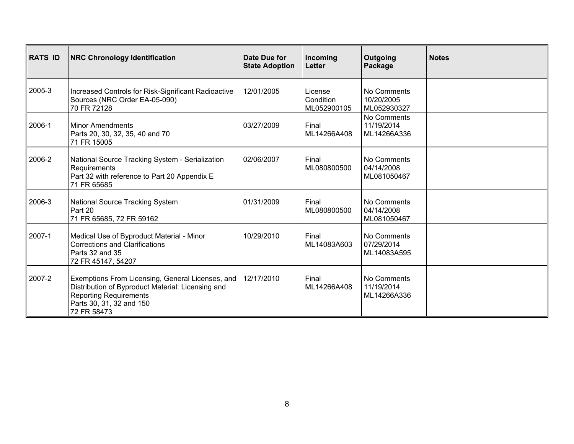| <b>RATS ID</b> | <b>NRC Chronology Identification</b>                                                                                                                                              | Date Due for<br><b>State Adoption</b> | Incoming<br>Letter                  | <b>Outgoing</b><br>Package               | <b>Notes</b> |
|----------------|-----------------------------------------------------------------------------------------------------------------------------------------------------------------------------------|---------------------------------------|-------------------------------------|------------------------------------------|--------------|
| 2005-3         | Increased Controls for Risk-Significant Radioactive<br>Sources (NRC Order EA-05-090)<br>70 FR 72128                                                                               | 12/01/2005                            | License<br>Condition<br>ML052900105 | No Comments<br>10/20/2005<br>ML052930327 |              |
| 2006-1         | <b>Minor Amendments</b><br>Parts 20, 30, 32, 35, 40 and 70<br>71 FR 15005                                                                                                         | 03/27/2009                            | Final<br>ML14266A408                | No Comments<br>11/19/2014<br>ML14266A336 |              |
| 2006-2         | National Source Tracking System - Serialization<br>Requirements<br>Part 32 with reference to Part 20 Appendix E<br>71 FR 65685                                                    | 02/06/2007                            | Final<br>ML080800500                | No Comments<br>04/14/2008<br>ML081050467 |              |
| 2006-3         | <b>National Source Tracking System</b><br>Part 20<br>71 FR 65685, 72 FR 59162                                                                                                     | 01/31/2009                            | Final<br>ML080800500                | No Comments<br>04/14/2008<br>ML081050467 |              |
| 2007-1         | Medical Use of Byproduct Material - Minor<br><b>Corrections and Clarifications</b><br>Parts 32 and 35<br>72 FR 45147, 54207                                                       | 10/29/2010                            | Final<br>ML14083A603                | No Comments<br>07/29/2014<br>ML14083A595 |              |
| 2007-2         | Exemptions From Licensing, General Licenses, and<br>Distribution of Byproduct Material: Licensing and<br><b>Reporting Requirements</b><br>Parts 30, 31, 32 and 150<br>72 FR 58473 | 12/17/2010                            | Final<br>ML14266A408                | No Comments<br>11/19/2014<br>ML14266A336 |              |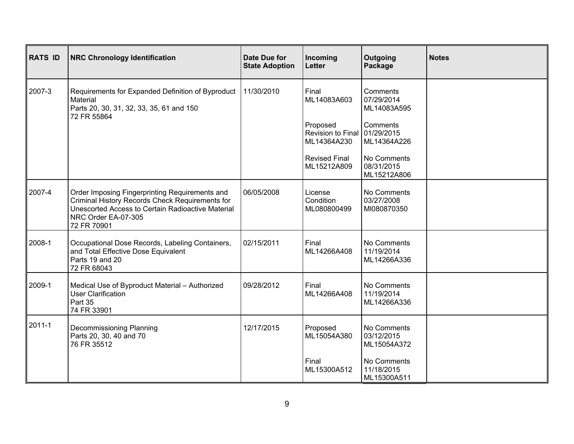| <b>RATS ID</b> | <b>NRC Chronology Identification</b>                                                                                                                                                         | Date Due for<br><b>State Adoption</b> | Incoming<br>Letter                  | Outgoing<br>Package                               | <b>Notes</b> |
|----------------|----------------------------------------------------------------------------------------------------------------------------------------------------------------------------------------------|---------------------------------------|-------------------------------------|---------------------------------------------------|--------------|
| 2007-3         | Requirements for Expanded Definition of Byproduct<br>Material<br>Parts 20, 30, 31, 32, 33, 35, 61 and 150<br>72 FR 55864                                                                     | 11/30/2010                            | Final<br>ML14083A603<br>Proposed    | Comments<br>07/29/2014<br>ML14083A595<br>Comments |              |
|                |                                                                                                                                                                                              |                                       | Revision to Final<br>ML14364A230    | 01/29/2015<br>ML14364A226                         |              |
|                |                                                                                                                                                                                              |                                       | <b>Revised Final</b><br>ML15212A809 | No Comments<br>08/31/2015<br>ML15212A806          |              |
| 2007-4         | Order Imposing Fingerprinting Requirements and<br>Criminal History Records Check Requirements for<br>Unescorted Access to Certain Radioactive Material<br>NRC Order EA-07-305<br>72 FR 70901 | 06/05/2008                            | License<br>Condition<br>ML080800499 | No Comments<br>03/27/2008<br>MI080870350          |              |
| 2008-1         | Occupational Dose Records, Labeling Containers,<br>and Total Effective Dose Equivalent<br>Parts 19 and 20<br>72 FR 68043                                                                     | 02/15/2011                            | Final<br>ML14266A408                | No Comments<br>11/19/2014<br>ML14266A336          |              |
| 2009-1         | Medical Use of Byproduct Material - Authorized<br>User Clarification<br>Part 35<br>74 FR 33901                                                                                               | 09/28/2012                            | Final<br>ML14266A408                | No Comments<br>11/19/2014<br>ML14266A336          |              |
| 2011-1         | Decommissioning Planning<br>Parts 20, 30, 40 and 70<br>76 FR 35512                                                                                                                           | 12/17/2015                            | Proposed<br>ML15054A380             | No Comments<br>03/12/2015<br>ML15054A372          |              |
|                |                                                                                                                                                                                              |                                       | Final<br>ML15300A512                | No Comments<br>11/18/2015<br>ML15300A511          |              |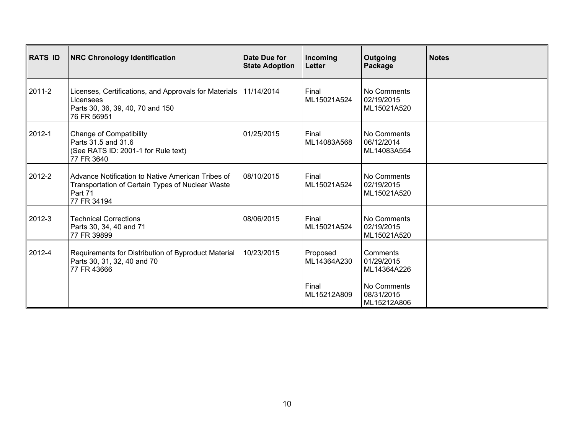| <b>RATS ID</b> | <b>NRC Chronology Identification</b>                                                                                               | Date Due for<br><b>State Adoption</b> | Incoming<br>Letter                              | Outgoing<br>Package                                                               | <b>Notes</b> |
|----------------|------------------------------------------------------------------------------------------------------------------------------------|---------------------------------------|-------------------------------------------------|-----------------------------------------------------------------------------------|--------------|
| 2011-2         | Licenses, Certifications, and Approvals for Materials   11/14/2014<br>Licensees<br>Parts 30, 36, 39, 40, 70 and 150<br>76 FR 56951 |                                       | Final<br>ML15021A524                            | No Comments<br>02/19/2015<br>ML15021A520                                          |              |
| 2012-1         | <b>Change of Compatibility</b><br>Parts 31.5 and 31.6<br>(See RATS ID: 2001-1 for Rule text)<br>77 FR 3640                         | 01/25/2015                            | Final<br>ML14083A568                            | No Comments<br>06/12/2014<br>ML14083A554                                          |              |
| 2012-2         | Advance Notification to Native American Tribes of<br>Transportation of Certain Types of Nuclear Waste<br>Part 71<br>77 FR 34194    | 08/10/2015                            | Final<br>ML15021A524                            | No Comments<br>02/19/2015<br>ML15021A520                                          |              |
| 2012-3         | <b>Technical Corrections</b><br>Parts 30, 34, 40 and 71<br>77 FR 39899                                                             | 08/06/2015                            | Final<br>ML15021A524                            | No Comments<br>02/19/2015<br>ML15021A520                                          |              |
| 2012-4         | Requirements for Distribution of Byproduct Material<br>Parts 30, 31, 32, 40 and 70<br>77 FR 43666                                  | 10/23/2015                            | Proposed<br>ML14364A230<br>Final<br>ML15212A809 | Comments<br>01/29/2015<br>ML14364A226<br>No Comments<br>08/31/2015<br>ML15212A806 |              |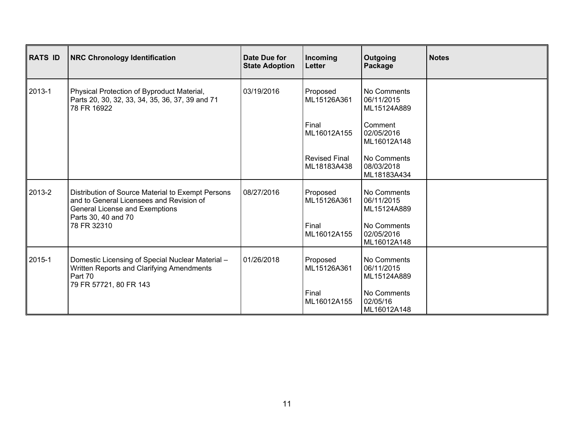| <b>RATS ID</b> | <b>NRC Chronology Identification</b>                                                                                                                                  | Date Due for<br><b>State Adoption</b> | Incoming<br>Letter                  | Outgoing<br>Package                      | <b>Notes</b> |
|----------------|-----------------------------------------------------------------------------------------------------------------------------------------------------------------------|---------------------------------------|-------------------------------------|------------------------------------------|--------------|
| 2013-1         | Physical Protection of Byproduct Material,<br>Parts 20, 30, 32, 33, 34, 35, 36, 37, 39 and 71<br>78 FR 16922                                                          | 03/19/2016                            | Proposed<br>ML15126A361             | No Comments<br>06/11/2015<br>ML15124A889 |              |
|                |                                                                                                                                                                       |                                       | Final<br>ML16012A155                | Comment<br>02/05/2016<br>ML16012A148     |              |
|                |                                                                                                                                                                       |                                       | <b>Revised Final</b><br>ML18183A438 | No Comments<br>08/03/2018<br>ML18183A434 |              |
| 2013-2         | Distribution of Source Material to Exempt Persons<br>and to General Licensees and Revision of<br>General License and Exemptions<br>Parts 30, 40 and 70<br>78 FR 32310 | 08/27/2016                            | Proposed<br>ML15126A361             | No Comments<br>06/11/2015<br>ML15124A889 |              |
|                |                                                                                                                                                                       |                                       | Final<br>ML16012A155                | No Comments<br>02/05/2016<br>ML16012A148 |              |
| 2015-1         | Domestic Licensing of Special Nuclear Material -<br>Written Reports and Clarifying Amendments<br>Part 70<br>79 FR 57721, 80 FR 143                                    | 01/26/2018                            | Proposed<br>ML15126A361             | No Comments<br>06/11/2015<br>ML15124A889 |              |
|                |                                                                                                                                                                       |                                       | Final<br>ML16012A155                | No Comments<br>02/05/16<br>ML16012A148   |              |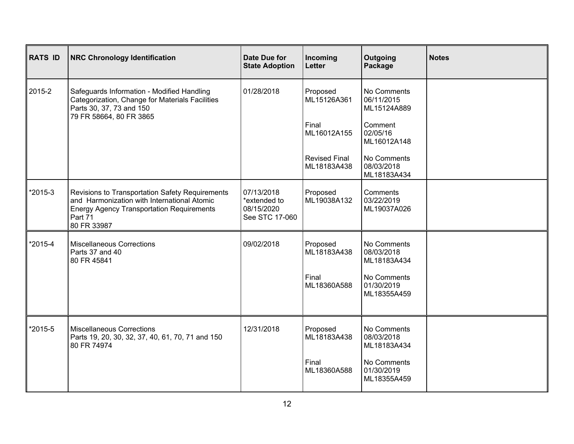| <b>RATS ID</b> | <b>NRC Chronology Identification</b>                                                                                                                                         | Date Due for<br><b>State Adoption</b>                      | Incoming<br><b>Letter</b>                                                              | Outgoing<br>Package                                                                                                        | <b>Notes</b> |
|----------------|------------------------------------------------------------------------------------------------------------------------------------------------------------------------------|------------------------------------------------------------|----------------------------------------------------------------------------------------|----------------------------------------------------------------------------------------------------------------------------|--------------|
| 2015-2         | Safeguards Information - Modified Handling<br>Categorization, Change for Materials Facilities<br>Parts 30, 37, 73 and 150<br>79 FR 58664, 80 FR 3865                         | 01/28/2018                                                 | Proposed<br>ML15126A361<br>Final<br>ML16012A155<br><b>Revised Final</b><br>ML18183A438 | No Comments<br>06/11/2015<br>ML15124A889<br>Comment<br>02/05/16<br>ML16012A148<br>No Comments<br>08/03/2018<br>ML18183A434 |              |
| *2015-3        | Revisions to Transportation Safety Requirements<br>and Harmonization with International Atomic<br><b>Energy Agency Transportation Requirements</b><br>Part 71<br>80 FR 33987 | 07/13/2018<br>*extended to<br>08/15/2020<br>See STC 17-060 | Proposed<br>ML19038A132                                                                | Comments<br>03/22/2019<br>ML19037A026                                                                                      |              |
| *2015-4        | <b>Miscellaneous Corrections</b><br>Parts 37 and 40<br>80 FR 45841                                                                                                           | 09/02/2018                                                 | Proposed<br>ML18183A438<br>Final<br>ML18360A588                                        | No Comments<br>08/03/2018<br>ML18183A434<br>No Comments<br>01/30/2019<br>ML18355A459                                       |              |
| *2015-5        | <b>Miscellaneous Corrections</b><br>Parts 19, 20, 30, 32, 37, 40, 61, 70, 71 and 150<br>80 FR 74974                                                                          | 12/31/2018                                                 | Proposed<br>ML18183A438<br>Final<br>ML18360A588                                        | No Comments<br>08/03/2018<br>ML18183A434<br>No Comments<br>01/30/2019<br>ML18355A459                                       |              |